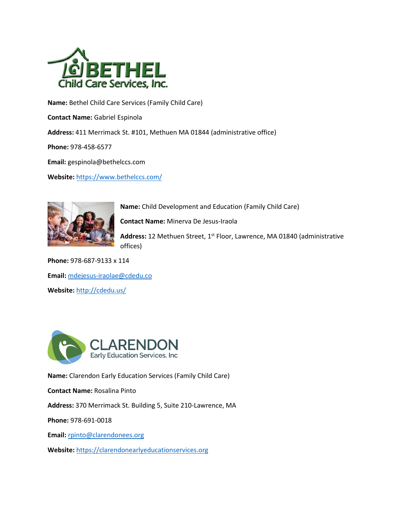

**Name:** Bethel Child Care Services (Family Child Care)

**Contact Name:** Gabriel Espinola

**Address:** 411 Merrimack St. #101, Methuen MA 01844 (administrative office)

**Phone:** 978-458-6577

**Email:** gespinola@bethelccs.com

**Website:** https://www.bethelccs.com/



**Name:** Child Development and Education (Family Child Care)

**Contact Name:** Minerva De Jesus-Iraola

Address: 12 Methuen Street, 1<sup>st</sup> Floor, Lawrence, MA 01840 (administrative offices)

**Phone:** 978-687-9133 x 114 **Email:** mdejesus-iraolae@cdedu.co **Website:** http://cdedu.us/



**Name:** Clarendon Early Education Services (Family Child Care)

**Contact Name:** Rosalina Pinto

**Address:** 370 Merrimack St. Building 5, Suite 210-Lawrence, MA

**Phone:** 978-691-0018

**Email:** rpinto@clarendonees.org

**Website:** https://clarendonearlyeducationservices.org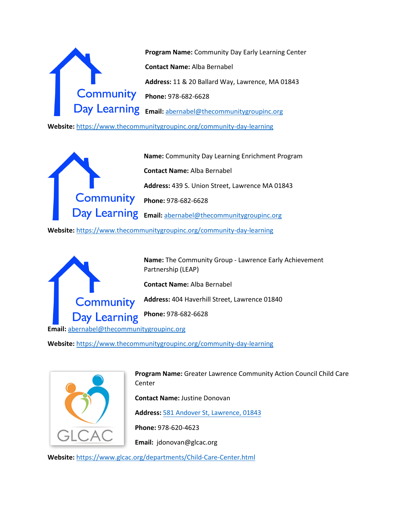

**Website:** https://www.thecommunitygroupinc.org/community-day-learning

**Name:** Community Day Learning Enrichment Program **Contact Name:** Alba Bernabel **Address:** 439 S. Union Street, Lawrence MA 01843 **Community Phone:** 978-682-6628 **Email:** abernabel@thecommunitygroupinc.org

**Website:** https://www.thecommunitygroupinc.org/community-day-learning



**Name:** The Community Group - Lawrence Early Achievement Partnership (LEAP)

**Contact Name:** Alba Bernabel

**Address:** 404 Haverhill Street, Lawrence 01840

**Phone:** 978-682-6628

**Email:** abernabel@thecommunitygroupinc.org

**Website:** https://www.thecommunitygroupinc.org/community-day-learning



**Program Name:** Greater Lawrence Community Action Council Child Care Center

**Contact Name:** Justine Donovan

**Address:** 581 Andover St, Lawrence, 01843

**Phone:** 978-620-4623

**Email:** jdonovan@glcac.org

**Website:** https://www.glcac.org/departments/Child-Care-Center.html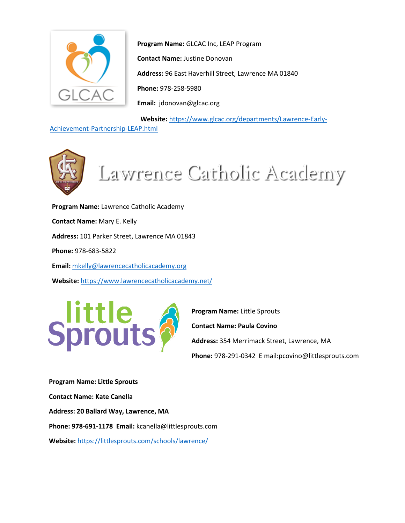

**Program Name:** GLCAC Inc, LEAP Program **Contact Name:** Justine Donovan **Address:** 96 East Haverhill Street, Lawrence MA 01840 **Phone:** 978-258-5980 **Email:** jdonovan@glcac.org

**Website:** https://www.glcac.org/departments/Lawrence-Early-

## Achievement-Partnership-LEAP.html



**Program Name:** Lawrence Catholic Academy **Contact Name:** Mary E. Kelly **Address:** 101 Parker Street, Lawrence MA 01843 **Phone:** 978-683-5822 **Email:** mkelly@lawrencecatholicacademy.org **Website:** https://www.lawrencecatholicacademy.net/



**Program Name:** Little Sprouts

**Contact Name: Paula Covino**

**Address:** 354 Merrimack Street, Lawrence, MA

**Phone:** 978-291-0342 E mail:pcovino@littlesprouts.com

**Program Name: Little Sprouts Contact Name: Kate Canella Address: 20 Ballard Way, Lawrence, MA Phone: 978-691-1178 Email:** kcanella@littlesprouts.com **Website:** https://littlesprouts.com/schools/lawrence/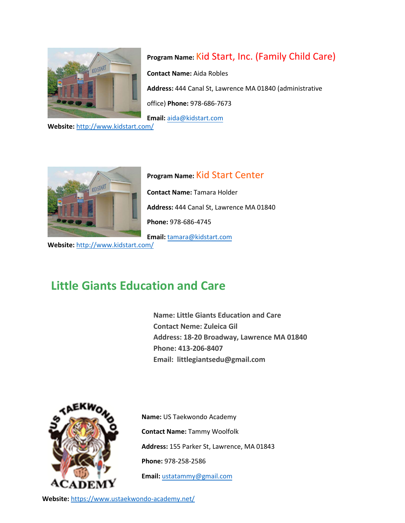

## **Program Name:** Kid Start, Inc. (Family Child Care)

**Contact Name:** Aida Robles

**Address:** 444 Canal St, Lawrence MA 01840 (administrative

office) **Phone:** 978-686-7673

**Email:** aida@kidstart.com

**Website:** http://www.kidstart.com/



**Program Name:** Kid Start Center **Contact Name:** Tamara Holder **Address:** 444 Canal St, Lawrence MA 01840 **Phone:** 978-686-4745 **Email:** tamara@kidstart.com

**Website:** http://www.kidstart.com/

## **Little Giants Education and Care**

**Name: Little Giants Education and Care Contact Neme: Zuleica Gil Address: 18-20 Broadway, Lawrence MA 01840 Phone: 413-206-8407 Email: littlegiantsedu@gmail.com**



**Name:** US Taekwondo Academy **Contact Name:** Tammy Woolfolk **Address:** 155 Parker St, Lawrence, MA 01843 **Phone:** 978-258-2586 **Email:** ustatammy@gmail.com

**Website:** https://www.ustaekwondo-academy.net/